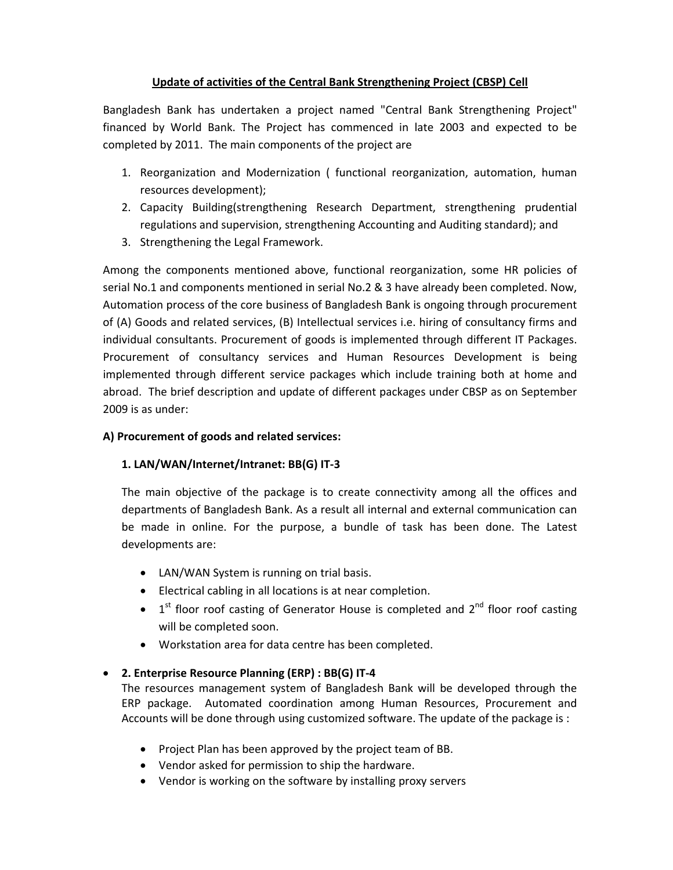# **Update of activities of the Central Bank Strengthening Project (CBSP) Cell**

Bangladesh Bank has undertaken a project named "Central Bank Strengthening Project" financed by World Bank. The Project has commenced in late 2003 and expected to be completed by 2011. The main components of the project are

- 1. Reorganization and Modernization ( functional reorganization, automation, human resources development);
- 2. Capacity Building(strengthening Research Department, strengthening prudential regulations and supervision, strengthening Accounting and Auditing standard); and
- 3. Strengthening the Legal Framework.

Among the components mentioned above, functional reorganization, some HR policies of serial No.1 and components mentioned in serial No.2 & 3 have already been completed. Now, Automation process of the core business of Bangladesh Bank is ongoing through procurement of (A) Goods and related services, (B) Intellectual services i.e. hiring of consultancy firms and individual consultants. Procurement of goods is implemented through different IT Packages. Procurement of consultancy services and Human Resources Development is being implemented through different service packages which include training both at home and abroad. The brief description and update of different packages under CBSP as on September 2009 is as under:

#### **A) Procurement of goods and related services:**

# **1. LAN/WAN/Internet/Intranet: BB(G) IT‐3**

The main objective of the package is to create connectivity among all the offices and departments of Bangladesh Bank. As a result all internal and external communication can be made in online. For the purpose, a bundle of task has been done. The Latest developments are:

- LAN/WAN System is running on trial basis.
- Electrical cabling in all locations is at near completion.
- $1<sup>st</sup>$  floor roof casting of Generator House is completed and  $2<sup>nd</sup>$  floor roof casting will be completed soon.
- Workstation area for data centre has been completed.

# • **2. Enterprise Resource Planning (ERP) : BB(G) IT‐4**

The resources management system of Bangladesh Bank will be developed through the ERP package. Automated coordination among Human Resources, Procurement and Accounts will be done through using customized software. The update of the package is :

- Project Plan has been approved by the project team of BB.
- Vendor asked for permission to ship the hardware.
- Vendor is working on the software by installing proxy servers